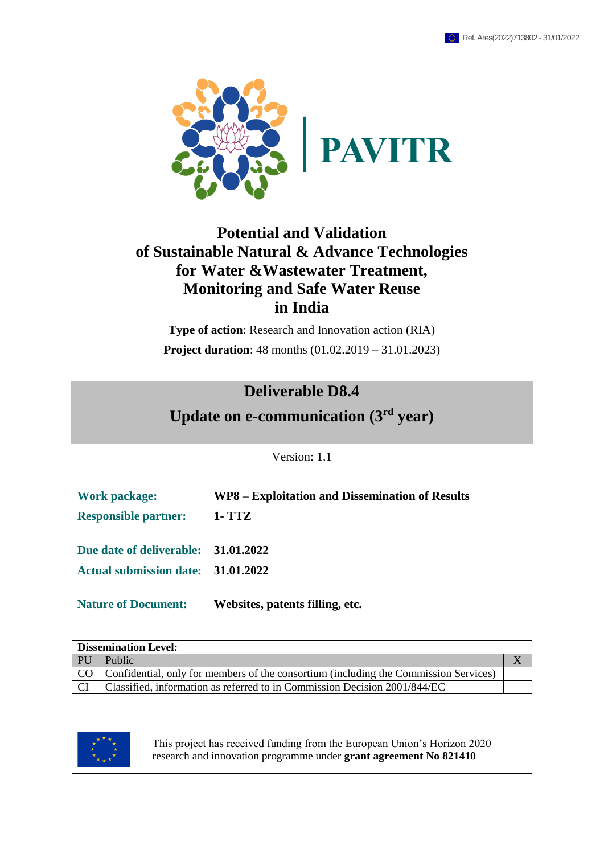

### **Potential and Validation of Sustainable Natural & Advance Technologies for Water &Wastewater Treatment, Monitoring and Safe Water Reuse in India**

**Type of action**: Research and Innovation action (RIA) **Project duration**: 48 months (01.02.2019 – 31.01.2023)

### **Deliverable D8.4**

**Update on e-communication (3 rd year)**

Version: 1.1

| <b>Work package:</b>                | WP8 – Exploitation and Dissemination of Results |
|-------------------------------------|-------------------------------------------------|
| <b>Responsible partner:</b>         | 1- TTZ                                          |
| Due date of deliverable: 31.01.2022 |                                                 |
| Actual submission date: 31.01.2022  |                                                 |
| <b>Nature of Document:</b>          | Websites, patents filling, etc.                 |

|      | <b>Dissemination Level:</b>                                                               |  |  |  |  |  |
|------|-------------------------------------------------------------------------------------------|--|--|--|--|--|
| . PU | Public                                                                                    |  |  |  |  |  |
|      | CO   Confidential, only for members of the consortium (including the Commission Services) |  |  |  |  |  |
| -CI  | Classified, information as referred to in Commission Decision 2001/844/EC                 |  |  |  |  |  |



This project has received funding from the European Union's Horizon 2020 research and innovation programme under **grant agreement No 821410**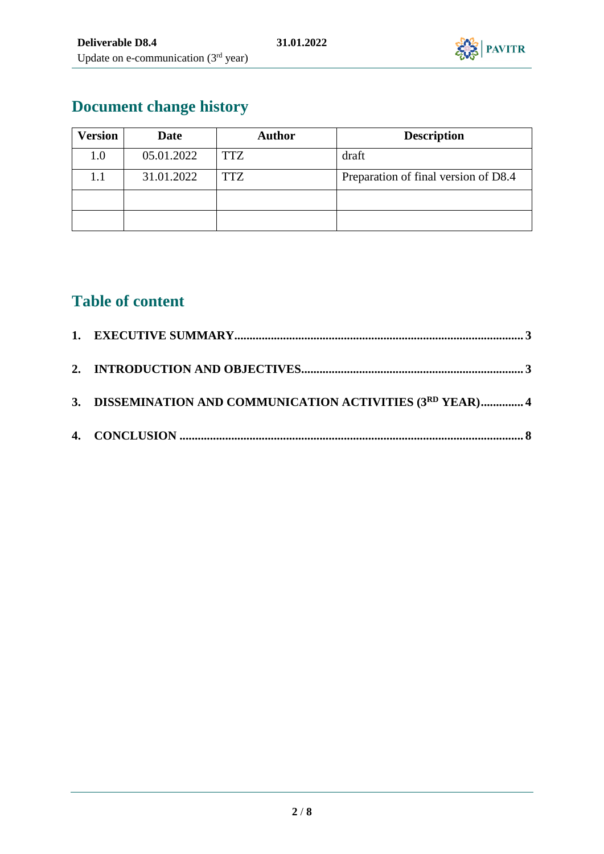

# **Document change history**

| <b>Version</b><br><b>Date</b> |            | <b>Author</b> | <b>Description</b>                   |  |  |  |
|-------------------------------|------------|---------------|--------------------------------------|--|--|--|
| 1.0                           | 05.01.2022 | <b>TTZ</b>    | draft                                |  |  |  |
| 1.1                           | 31.01.2022 | <b>TTZ</b>    | Preparation of final version of D8.4 |  |  |  |
|                               |            |               |                                      |  |  |  |
|                               |            |               |                                      |  |  |  |

# **Table of content**

| 3. DISSEMINATION AND COMMUNICATION ACTIVITIES (3RD YEAR) 4 |  |
|------------------------------------------------------------|--|
|                                                            |  |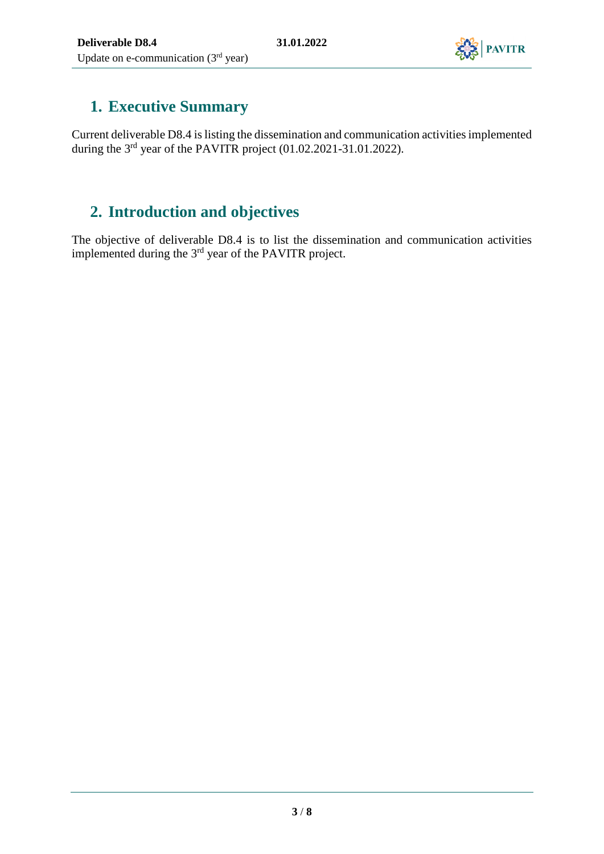

# <span id="page-2-0"></span>**1. Executive Summary**

Current deliverable D8.4 is listing the dissemination and communication activities implemented during the  $3<sup>rd</sup>$  year of the PAVITR project (01.02.2021-31.01.2022).

## <span id="page-2-1"></span>**2. Introduction and objectives**

The objective of deliverable D8.4 is to list the dissemination and communication activities implemented during the  $3<sup>rd</sup>$  year of the PAVITR project.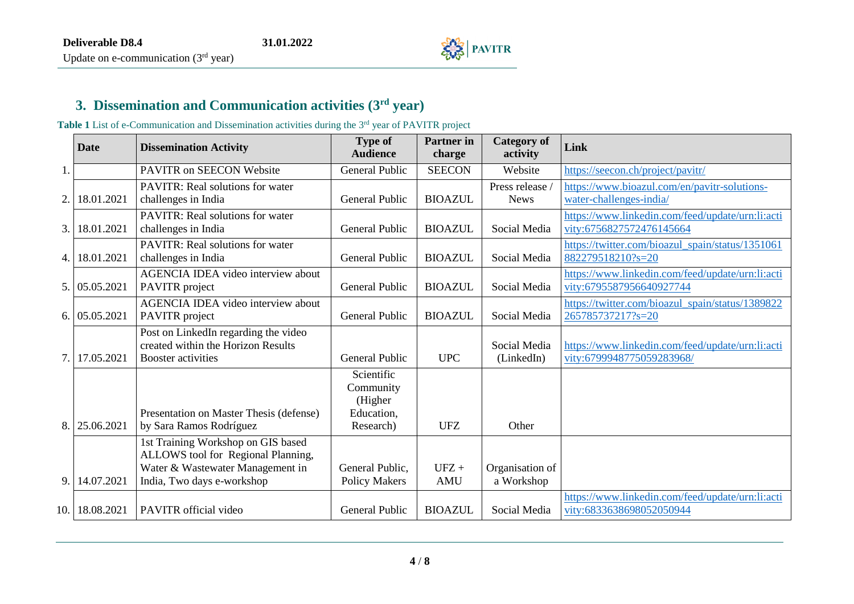

#### **3. Dissemination and Communication activities (3 rd year)**

Table 1 List of e-Communication and Dissemination activities during the 3<sup>rd</sup> year of PAVITR project

<span id="page-3-0"></span>

|     | <b>Date</b>   | <b>Dissemination Activity</b>                                                                                                              | <b>Type of</b><br><b>Audience</b>                             | <b>Partner</b> in<br>charge | <b>Category of</b><br>activity | Link                                                                          |
|-----|---------------|--------------------------------------------------------------------------------------------------------------------------------------------|---------------------------------------------------------------|-----------------------------|--------------------------------|-------------------------------------------------------------------------------|
| 1.  |               | PAVITR on SEECON Website                                                                                                                   | <b>General Public</b>                                         | <b>SEECON</b>               | Website                        | https://seecon.ch/project/pavitr/                                             |
| 2.  | 18.01.2021    | <b>PAVITR:</b> Real solutions for water<br>challenges in India                                                                             | <b>General Public</b>                                         | <b>BIOAZUL</b>              | Press release /<br><b>News</b> | https://www.bioazul.com/en/pavitr-solutions-<br>water-challenges-india/       |
| 3.  | 18.01.2021    | <b>PAVITR:</b> Real solutions for water<br>challenges in India                                                                             | <b>General Public</b>                                         | <b>BIOAZUL</b>              | Social Media                   | https://www.linkedin.com/feed/update/urn:li:acti<br>vity:6756827572476145664  |
| 4.  | 18.01.2021    | <b>PAVITR:</b> Real solutions for water<br>challenges in India                                                                             | <b>General Public</b>                                         | <b>BIOAZUL</b>              | Social Media                   | https://twitter.com/bioazul_spain/status/1351061<br>882279518210?s=20         |
|     | 5. 05.05.2021 | AGENCIA IDEA video interview about<br>PAVITR project                                                                                       | <b>General Public</b>                                         | <b>BIOAZUL</b>              | Social Media                   | https://www.linkedin.com/feed/update/urn:li:acti<br>vity:6795587956640927744  |
| 6.  | 05.05.2021    | AGENCIA IDEA video interview about<br>PAVITR project                                                                                       | <b>General Public</b>                                         | <b>BIOAZUL</b>              | Social Media                   | https://twitter.com/bioazul_spain/status/1389822<br>265785737217?s=20         |
| 7.  | 17.05.2021    | Post on LinkedIn regarding the video<br>created within the Horizon Results<br><b>Booster activities</b>                                    | <b>General Public</b>                                         | <b>UPC</b>                  | Social Media<br>(LinkedIn)     | https://www.linkedin.com/feed/update/urn:li:acti<br>vity:6799948775059283968/ |
| 8.  | 25.06.2021    | Presentation on Master Thesis (defense)<br>by Sara Ramos Rodríguez                                                                         | Scientific<br>Community<br>(Higher<br>Education,<br>Research) | <b>UFZ</b>                  | Other                          |                                                                               |
| 9   | 14.07.2021    | 1st Training Workshop on GIS based<br>ALLOWS tool for Regional Planning,<br>Water & Wastewater Management in<br>India, Two days e-workshop | General Public,<br><b>Policy Makers</b>                       | $UFZ +$<br><b>AMU</b>       | Organisation of<br>a Workshop  |                                                                               |
| 10. | 18.08.2021    | <b>PAVITR</b> official video                                                                                                               | General Public                                                | <b>BIOAZUL</b>              | Social Media                   | https://www.linkedin.com/feed/update/urn:li:acti<br>vity:6833638698052050944  |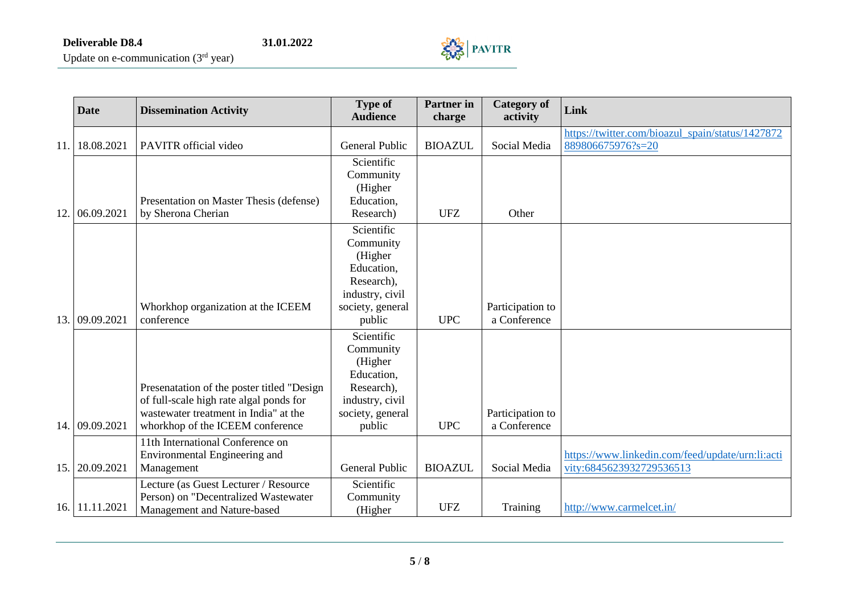

|      | <b>Date</b>    | <b>Dissemination Activity</b>                                                                                                                                      | <b>Type of</b><br><b>Audience</b>                                                                               | <b>Partner</b> in<br>charge | <b>Category of</b><br>activity   | Link                                                                         |
|------|----------------|--------------------------------------------------------------------------------------------------------------------------------------------------------------------|-----------------------------------------------------------------------------------------------------------------|-----------------------------|----------------------------------|------------------------------------------------------------------------------|
| 11.  | 18.08.2021     | PAVITR official video                                                                                                                                              | <b>General Public</b>                                                                                           | <b>BIOAZUL</b>              | Social Media                     | https://twitter.com/bioazul spain/status/1427872<br>889806675976?s=20        |
| 12.  | 06.09.2021     | Presentation on Master Thesis (defense)<br>by Sherona Cherian                                                                                                      | Scientific<br>Community<br>(Higher<br>Education,<br>Research)                                                   | <b>UFZ</b>                  | Other                            |                                                                              |
| 13.1 | 09.09.2021     | Whorkhop organization at the ICEEM<br>conference                                                                                                                   | Scientific<br>Community<br>(Higher<br>Education,<br>Research),<br>industry, civil<br>society, general<br>public | <b>UPC</b>                  | Participation to<br>a Conference |                                                                              |
|      | 14. 09.09.2021 | Presenatation of the poster titled "Design<br>of full-scale high rate algal ponds for<br>wastewater treatment in India" at the<br>whorkhop of the ICEEM conference | Scientific<br>Community<br>(Higher<br>Education,<br>Research),<br>industry, civil<br>society, general<br>public | <b>UPC</b>                  | Participation to<br>a Conference |                                                                              |
|      | 15. 20.09.2021 | 11th International Conference on<br>Environmental Engineering and<br>Management                                                                                    | General Public                                                                                                  | <b>BIOAZUL</b>              | Social Media                     | https://www.linkedin.com/feed/update/urn:li:acti<br>vity:6845623932729536513 |
|      | 16. 11.11.2021 | Lecture (as Guest Lecturer / Resource<br>Person) on "Decentralized Wastewater<br>Management and Nature-based                                                       | Scientific<br>Community<br>(Higher                                                                              | <b>UFZ</b>                  | Training                         | http://www.carmelcet.in/                                                     |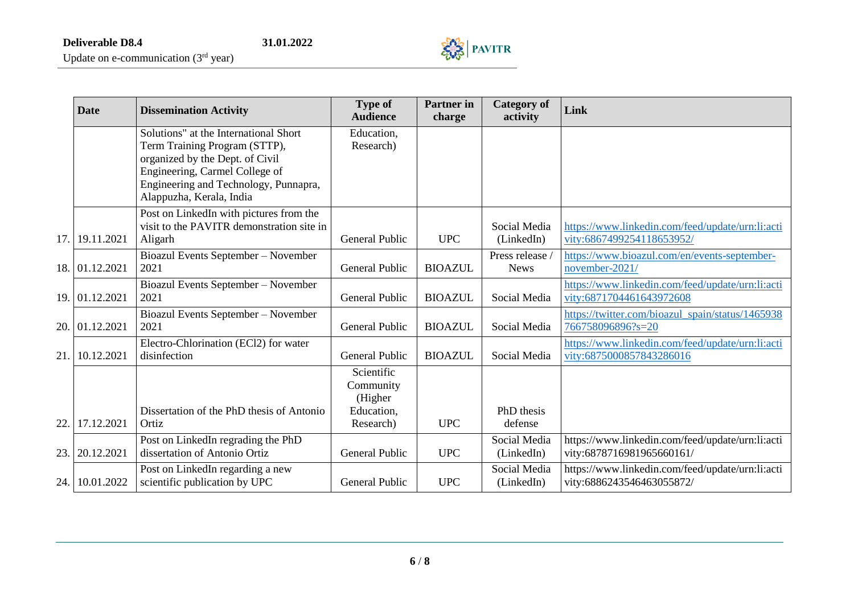

| <b>Date</b><br><b>Dissemination Activity</b> |                | <b>Type of</b><br><b>Audience</b>         | <b>Partner</b> in<br>charge | <b>Category of</b><br>activity | Link            |                                                  |
|----------------------------------------------|----------------|-------------------------------------------|-----------------------------|--------------------------------|-----------------|--------------------------------------------------|
|                                              |                | Solutions" at the International Short     | Education,                  |                                |                 |                                                  |
|                                              |                | Term Training Program (STTP),             | Research)                   |                                |                 |                                                  |
|                                              |                | organized by the Dept. of Civil           |                             |                                |                 |                                                  |
|                                              |                | Engineering, Carmel College of            |                             |                                |                 |                                                  |
|                                              |                | Engineering and Technology, Punnapra,     |                             |                                |                 |                                                  |
|                                              |                | Alappuzha, Kerala, India                  |                             |                                |                 |                                                  |
|                                              |                | Post on LinkedIn with pictures from the   |                             |                                |                 |                                                  |
|                                              |                | visit to the PAVITR demonstration site in |                             |                                | Social Media    | https://www.linkedin.com/feed/update/urn:li:acti |
| 17.                                          | 19.11.2021     | Aligarh                                   | <b>General Public</b>       | <b>UPC</b>                     | (LinkedIn)      | vity:6867499254118653952/                        |
|                                              |                | Bioazul Events September - November       |                             |                                | Press release / | https://www.bioazul.com/en/events-september-     |
|                                              | 18. 01.12.2021 | 2021                                      | General Public              | <b>BIOAZUL</b>                 | <b>News</b>     | november-2021/                                   |
|                                              |                | Bioazul Events September - November       |                             |                                |                 | https://www.linkedin.com/feed/update/urn:li:acti |
|                                              | 19. 01.12.2021 | 2021                                      | <b>General Public</b>       | <b>BIOAZUL</b>                 | Social Media    | vity:6871704461643972608                         |
|                                              |                | Bioazul Events September - November       |                             |                                |                 | https://twitter.com/bioazul spain/status/1465938 |
|                                              | 20. 01.12.2021 | 2021                                      | <b>General Public</b>       | <b>BIOAZUL</b>                 | Social Media    | 766758096896?s=20                                |
|                                              |                | Electro-Chlorination (ECl2) for water     |                             |                                |                 | https://www.linkedin.com/feed/update/urn:li:acti |
| 21.                                          | 10.12.2021     | disinfection                              | <b>General Public</b>       | <b>BIOAZUL</b>                 | Social Media    | vity:6875000857843286016                         |
|                                              |                |                                           | Scientific                  |                                |                 |                                                  |
|                                              |                |                                           | Community                   |                                |                 |                                                  |
|                                              |                |                                           | (Higher                     |                                |                 |                                                  |
|                                              |                | Dissertation of the PhD thesis of Antonio | Education,                  |                                | PhD thesis      |                                                  |
| 22.                                          | 17.12.2021     | Ortiz                                     | Research)                   | <b>UPC</b>                     | defense         |                                                  |
|                                              |                | Post on LinkedIn regrading the PhD        |                             |                                | Social Media    | https://www.linkedin.com/feed/update/urn:li:acti |
| 23.                                          | 20.12.2021     | dissertation of Antonio Ortiz             | <b>General Public</b>       | <b>UPC</b>                     | (LinkedIn)      | vity:6878716981965660161/                        |
|                                              |                | Post on LinkedIn regarding a new          |                             |                                | Social Media    | https://www.linkedin.com/feed/update/urn:li:acti |
| 24.                                          | 10.01.2022     | scientific publication by UPC             | General Public              | <b>UPC</b>                     | (LinkedIn)      | vity:6886243546463055872/                        |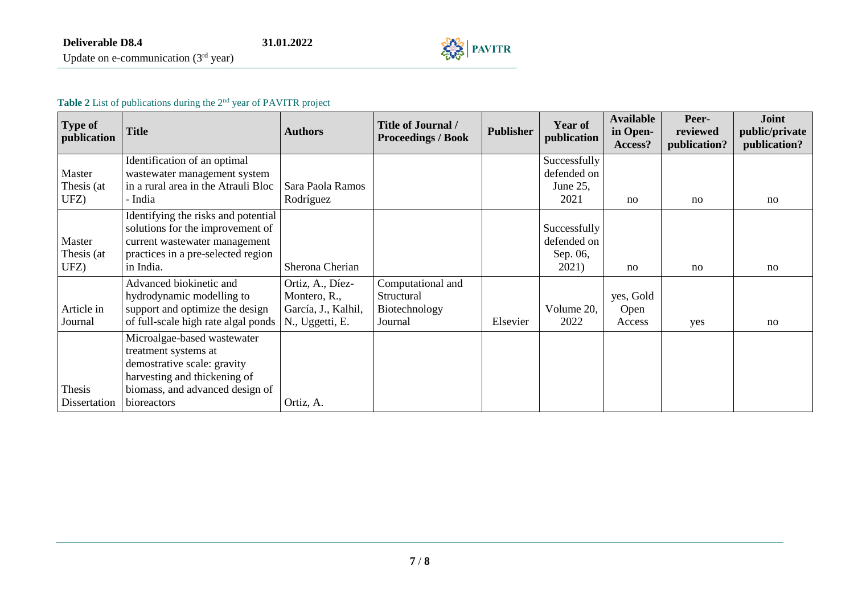

#### **Table 2** List of publications during the 2nd year of PAVITR project

| <b>Type of</b><br>publication | Title                                                                                                                                                       | <b>Authors</b>                         | <b>Title of Journal /</b><br><b>Proceedings / Book</b> | <b>Publisher</b> | <b>Year of</b><br>publication                    | <b>Available</b><br>in Open-<br>Access? | Peer-<br>reviewed<br>publication? | <b>Joint</b><br>public/private<br>publication? |
|-------------------------------|-------------------------------------------------------------------------------------------------------------------------------------------------------------|----------------------------------------|--------------------------------------------------------|------------------|--------------------------------------------------|-----------------------------------------|-----------------------------------|------------------------------------------------|
| Master                        | Identification of an optimal<br>wastewater management system                                                                                                |                                        |                                                        |                  | Successfully<br>defended on                      |                                         |                                   |                                                |
| Thesis (at<br>UFZ)            | in a rural area in the Atrauli Bloc<br>- India                                                                                                              | Sara Paola Ramos<br>Rodríguez          |                                                        |                  | June 25,<br>2021                                 | no                                      | no                                | no                                             |
| Master<br>Thesis (at<br>UFZ)  | Identifying the risks and potential<br>solutions for the improvement of<br>current wastewater management<br>practices in a pre-selected region<br>in India. | Sherona Cherian                        |                                                        |                  | Successfully<br>defended on<br>Sep. 06,<br>2021) | no                                      | no                                | no                                             |
|                               | Advanced biokinetic and<br>hydrodynamic modelling to                                                                                                        | Ortiz, A., Díez-<br>Montero, R.,       | Computational and<br>Structural                        |                  |                                                  | yes, Gold                               |                                   |                                                |
| Article in<br>Journal         | support and optimize the design<br>of full-scale high rate algal ponds                                                                                      | García, J., Kalhil,<br>N., Uggetti, E. | Biotechnology<br>Journal                               | Elsevier         | Volume 20,<br>2022                               | Open<br>Access                          | yes                               | no                                             |
|                               | Microalgae-based wastewater<br>treatment systems at<br>demostrative scale: gravity<br>harvesting and thickening of                                          |                                        |                                                        |                  |                                                  |                                         |                                   |                                                |
| Thesis<br>Dissertation        | biomass, and advanced design of<br>bioreactors                                                                                                              | Ortiz, A.                              |                                                        |                  |                                                  |                                         |                                   |                                                |